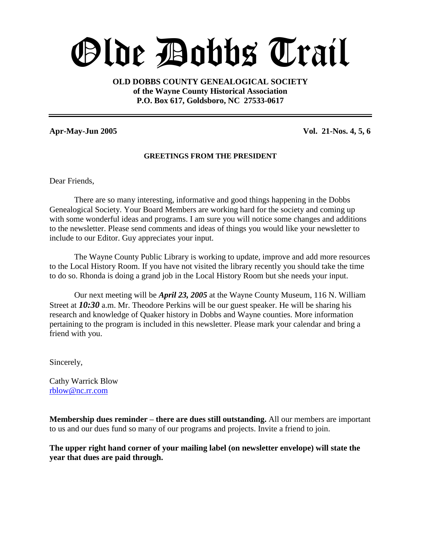# Olde Dobbs Trail

**OLD DOBBS COUNTY GENEALOGICAL SOCIETY of the Wayne County Historical Association P.O. Box 617, Goldsboro, NC 27533-0617**

# **Apr-May-Jun 2005 Vol. 21-Nos. 4, 5, 6**

### **GREETINGS FROM THE PRESIDENT**

Dear Friends,

There are so many interesting, informative and good things happening in the Dobbs Genealogical Society. Your Board Members are working hard for the society and coming up with some wonderful ideas and programs. I am sure you will notice some changes and additions to the newsletter. Please send comments and ideas of things you would like your newsletter to include to our Editor. Guy appreciates your input.

The Wayne County Public Library is working to update, improve and add more resources to the Local History Room. If you have not visited the library recently you should take the time to do so. Rhonda is doing a grand job in the Local History Room but she needs your input.

Our next meeting will be *April 23, 2005* at the Wayne County Museum, 116 N. William Street at *10:30* a.m. Mr. Theodore Perkins will be our guest speaker. He will be sharing his research and knowledge of Quaker history in Dobbs and Wayne counties. More information pertaining to the program is included in this newsletter. Please mark your calendar and bring a friend with you.

Sincerely,

Cathy Warrick Blow rblow@nc.rr.com

**Membership dues reminder –there are dues still outstanding.** All our members are important to us and our dues fund so many of our programs and projects. Invite a friend to join.

**The upper right hand corner of your mailing label (on newsletter envelope) will state the year that dues are paid through.**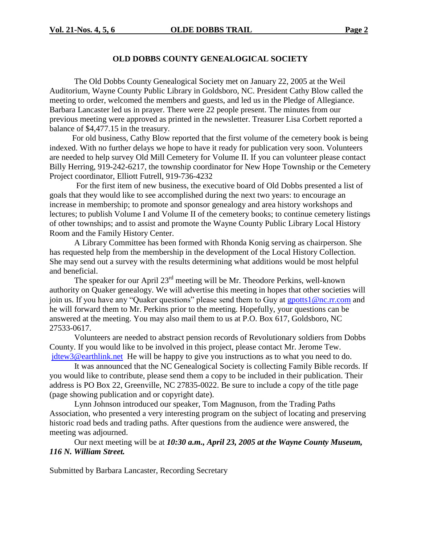### **OLD DOBBS COUNTY GENEALOGICAL SOCIETY**

The Old Dobbs County Genealogical Society met on January 22, 2005 at the Weil Auditorium, Wayne County Public Library in Goldsboro, NC. President Cathy Blow called the meeting to order, welcomed the members and guests, and led us in the Pledge of Allegiance. Barbara Lancaster led us in prayer. There were 22 people present. The minutes from our previous meeting were approved as printed in the newsletter. Treasurer Lisa Corbett reported a balance of \$4,477.15 in the treasury.

For old business, Cathy Blow reported that the first volume of the cemetery book is being indexed. With no further delays we hope to have it ready for publication very soon. Volunteers are needed to help survey Old Mill Cemetery for Volume II. If you can volunteer please contact Billy Herring, 919-242-6217, the township coordinator for New Hope Township or the Cemetery Project coordinator, Elliott Futrell, 919-736-4232

For the first item of new business, the executive board of Old Dobbs presented a list of goals that they would like to see accomplished during the next two years: to encourage an increase in membership; to promote and sponsor genealogy and area history workshops and lectures; to publish Volume I and Volume II of the cemetery books; to continue cemetery listings of other townships; and to assist and promote the Wayne County Public Library Local History Room and the Family History Center.

A Library Committee has been formed with Rhonda Konig serving as chairperson. She has requested help from the membership in the development of the Local History Collection. She may send out a survey with the results determining what additions would be most helpful and beneficial.

The speaker for our April 23<sup>rd</sup> meeting will be Mr. Theodore Perkins, well-known authority on Quaker genealogy. We will advertise this meeting in hopes that other societies will join us. If you have any "Quaker questions" please send them to Guy at gpotts1@nc.rr.com and he will forward them to Mr. Perkins prior to the meeting. Hopefully, your questions can be answered at the meeting. You may also mail them to us at P.O. Box 617, Goldsboro, NC 27533-0617.

Volunteers are needed to abstract pension records of Revolutionary soldiers from Dobbs County. If you would like to be involved in this project, please contact Mr. Jerome Tew. jdtew3@earthlink.net He will be happy to give you instructions as to what you need to do.

It was announced that the NC Genealogical Society is collecting Family Bible records. If you would like to contribute, please send them a copy to be included in their publication. Their address is PO Box 22, Greenville, NC 27835-0022. Be sure to include a copy of the title page (page showing publication and or copyright date).

Lynn Johnson introduced our speaker, Tom Magnuson, from the Trading Paths Association, who presented a very interesting program on the subject of locating and preserving historic road beds and trading paths. After questions from the audience were answered, the meeting was adjourned.

Our next meeting will be at *10:30 a.m., April 23, 2005 at the Wayne County Museum, 116 N. William Street.*

Submitted by Barbara Lancaster, Recording Secretary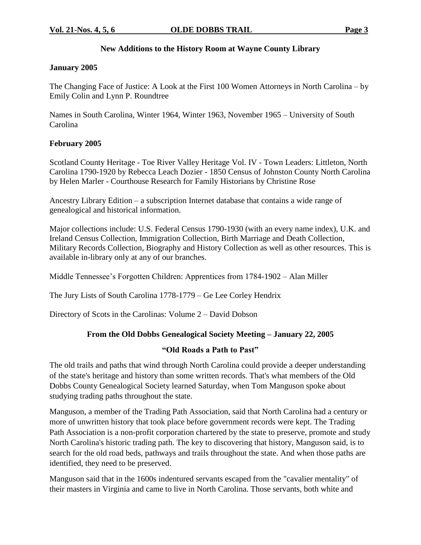# **New Additions to the History Room at Wayne County Library**

### **January 2005**

The Changing Face of Justice: A Look at the First 100 Women Attorneys in North Carolina – by Emily Colin and Lynn P. Roundtree

Names in South Carolina, Winter 1964, Winter 1963, November 1965 – University of South Carolina

# **February 2005**

Scotland County Heritage - Toe River Valley Heritage Vol. IV - Town Leaders: Littleton, North Carolina 1790-1920 by Rebecca Leach Dozier - 1850 Census of Johnston County North Carolina by Helen Marler - Courthouse Research for Family Historians by Christine Rose

Ancestry Library Edition –a subscription Internet database that contains a wide range of genealogical and historical information.

Major collections include: U.S. Federal Census 1790-1930 (with an every name index), U.K. and Ireland Census Collection, Immigration Collection, Birth Marriage and Death Collection, Military Records Collection, Biography and History Collection as well as other resources. This is available in-library only at any of our branches.

Middle Tennessee's Forgotten Children: Apprentices from 1784-1902 – Alan Miller

The Jury Lists of South Carolina 1778-1779 – Ge Lee Corley Hendrix

Directory of Scots in the Carolinas: Volume 2 – David Dobson

# **From the Old Dobbs Genealogical Society Meeting –January 22, 2005**

### **"OldRoadsaPathtoPast"**

The old trails and paths that wind through North Carolina could provide a deeper understanding of the state's heritage and history than some written records. That's what members of the Old Dobbs County Genealogical Society learned Saturday, when Tom Manguson spoke about studying trading paths throughout the state.

Manguson, a member of the Trading Path Association, said that North Carolina had a century or more of unwritten history that took place before government records were kept. The Trading Path Association is a non-profit corporation chartered by the state to preserve, promote and study North Carolina's historic trading path. The key to discovering that history, Manguson said, is to search for the old road beds, pathways and trails throughout the state. And when those paths are identified, they need to be preserved.

Manguson said that in the 1600s indentured servants escaped from the "cavalier mentality" of their masters in Virginia and came to live in North Carolina. Those servants, both white and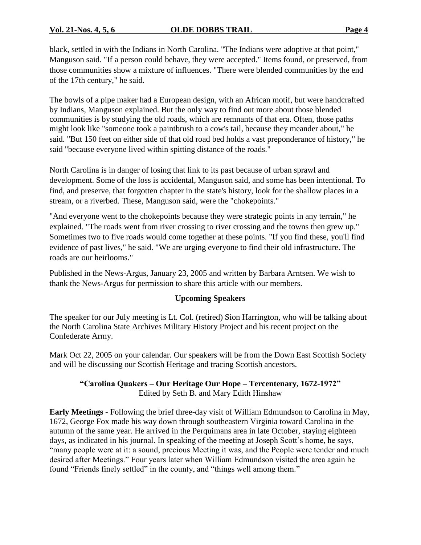black, settled in with the Indians in North Carolina. "The Indians were adoptive at that point," Manguson said. "If a person could behave, they were accepted." Items found, or preserved, from those communities show a mixture of influences. "There were blended communities by the end of the 17th century," he said.

The bowls of a pipe maker had a European design, with an African motif, but were handcrafted by Indians, Manguson explained. But the only way to find out more about those blended communities is by studying the old roads, which are remnants of that era. Often, those paths might look like "someone took a paintbrush to a cow's tail, because they meander about,"he said. "But 150 feet on either side of that old road bed holds a vast preponderance of history," he said "because everyone lived within spitting distance of the roads."

North Carolina is in danger of losing that link to its past because of urban sprawl and development. Some of the loss is accidental, Manguson said, and some has been intentional. To find, and preserve, that forgotten chapter in the state's history, look for the shallow places in a stream, or a riverbed. These, Manguson said, were the "chokepoints."

"And everyone went to the chokepoints because they were strategic points in any terrain," he explained. "The roads went from river crossing to river crossing and the towns then grew up." Sometimes two to five roads would come together at these points. "If you find these, you'll find evidence of past lives," he said. "We are urging everyone to find their old infrastructure. The roads are our heirlooms."

Published in the News-Argus, January 23, 2005 and written by Barbara Arntsen. We wish to thank the News-Argus for permission to share this article with our members.

# **Upcoming Speakers**

The speaker for our July meeting is Lt. Col. (retired) Sion Harrington, who will be talking about the North Carolina State Archives Military History Project and his recent project on the Confederate Army.

Mark Oct 22, 2005 on your calendar. Our speakers will be from the Down East Scottish Society and will be discussing our Scottish Heritage and tracing Scottish ancestors.

# **"CarolinaQuakers–Our Heritage Our Hope –Tercentenary, 1672-1972"** Edited by Seth B. and Mary Edith Hinshaw

**Early Meetings** - Following the brief three-day visit of William Edmundson to Carolina in May, 1672, George Fox made his way down through southeastern Virginia toward Carolina in the autumn of the same year. He arrived in the Perquimans area in late October, staying eighteen days, as indicated in his journal. In speaking of the meeting at Joseph Scott's home, he says, "many people were at it: a sound, precious Meeting it was, and the People were tender and much desired after Meetings." Four years later when William Edmundson visited the area again he found "Friends finely settled" in the county, and "things well among them."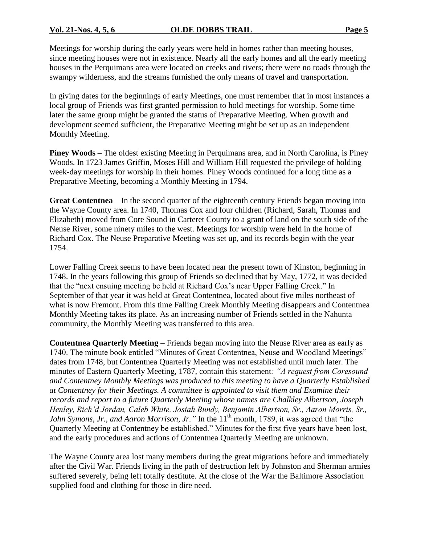Meetings for worship during the early years were held in homes rather than meeting houses, since meeting houses were not in existence. Nearly all the early homes and all the early meeting houses in the Perquimans area were located on creeks and rivers; there were no roads through the swampy wilderness, and the streams furnished the only means of travel and transportation.

In giving dates for the beginnings of early Meetings, one must remember that in most instances a local group of Friends was first granted permission to hold meetings for worship. Some time later the same group might be granted the status of Preparative Meeting. When growth and development seemed sufficient, the Preparative Meeting might be set up as an independent Monthly Meeting.

**Piney Woods** – The oldest existing Meeting in Perquimans area, and in North Carolina, is Piney Woods. In 1723 James Griffin, Moses Hill and William Hill requested the privilege of holding week-day meetings for worship in their homes. Piney Woods continued for a long time as a Preparative Meeting, becoming a Monthly Meeting in 1794.

Great Contentnea – In the second quarter of the eighteenth century Friends began moving into the Wayne County area. In 1740, Thomas Cox and four children (Richard, Sarah, Thomas and Elizabeth) moved from Core Sound in Carteret County to a grant of land on the south side of the Neuse River, some ninety miles to the west. Meetings for worship were held in the home of Richard Cox. The Neuse Preparative Meeting was set up, and its records begin with the year 1754.

Lower Falling Creek seems to have been located near the present town of Kinston, beginning in 1748. In the years following this group of Friends so declined that by May, 1772, it was decided that the "next ensuing meeting be held at Richard Cox's near Upper Falling Creek." In September of that year it was held at Great Contentnea, located about five miles northeast of what is now Fremont. From this time Falling Creek Monthly Meeting disappears and Contentnea Monthly Meeting takes its place. As an increasing number of Friends settled in the Nahunta community, the Monthly Meeting was transferred to this area.

**Contentnea Quarterly Meeting** – Friends began moving into the Neuse River area as early as 1740. The minute book entitled "Minutes of Great Contentnea, Neuse and Woodland Meetings" dates from 1748, but Contentnea Quarterly Meeting was not established until much later. The minutes of Eastern Quarterly Meeting, 1787, contain this statement: "A request from Coresound *and Contentney Monthly Meetings was produced to this meeting to have a Quarterly Established at Contentney for their Meetings. A committee is appointed to visit them and Examine their records and report to a future Quarterly Meeting whose names are Chalkley Albertson, Joseph Henley, Rich'd Jordan, Caleb White, Josiah Bundy, Benjamin Albertson, Sr., Aaron Morris, Sr., John Symons, Jr., and Aaron Morrison, Jr.*<sup>"</sup> In the 11<sup>th</sup> month, 1789, it was agreed that "the Quarterly Meeting at Contentney be established." Minutes for the first five years have been lost, and the early procedures and actions of Contentnea Quarterly Meeting are unknown.

The Wayne County area lost many members during the great migrations before and immediately after the Civil War. Friends living in the path of destruction left by Johnston and Sherman armies suffered severely, being left totally destitute. At the close of the War the Baltimore Association supplied food and clothing for those in dire need.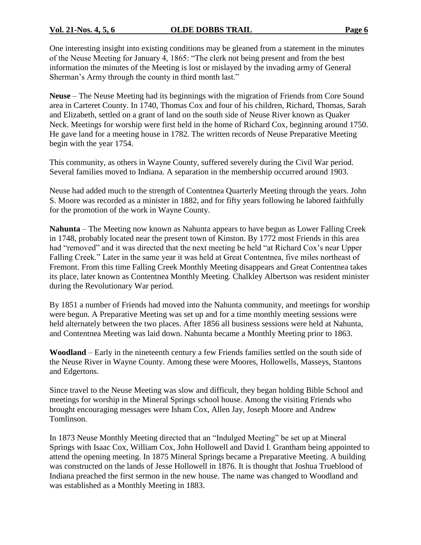One interesting insight into existing conditions may be gleaned from a statement in the minutes of the Neuse Meeting for January 4, 1865: "The clerk not being present and from the best information the minutes of the Meeting is lost or mislayed by the invading army of General Sherman's Army through the county in third month last."

**Neuse** –The Neuse Meeting had its beginnings with the migration of Friends from Core Sound area in Carteret County. In 1740, Thomas Cox and four of his children, Richard, Thomas, Sarah and Elizabeth, settled on a grant of land on the south side of Neuse River known as Quaker Neck. Meetings for worship were first held in the home of Richard Cox, beginning around 1750. He gave land for a meeting house in 1782. The written records of Neuse Preparative Meeting begin with the year 1754.

This community, as others in Wayne County, suffered severely during the Civil War period. Several families moved to Indiana. A separation in the membership occurred around 1903.

Neuse had added much to the strength of Contentnea Quarterly Meeting through the years. John S. Moore was recorded as a minister in 1882, and for fifty years following he labored faithfully for the promotion of the work in Wayne County.

**Nahunta** –The Meeting now known as Nahunta appears to have begun as Lower Falling Creek in 1748, probably located near the present town of Kinston. By 1772 most Friends in this area had "removed" and it was directed that the next meeting be held "at Richard Cox's near Upper Falling Creek." Later in the same year it was held at Great Contentnea, five miles northeast of Fremont. From this time Falling Creek Monthly Meeting disappears and Great Contentnea takes its place, later known as Contentnea Monthly Meeting. Chalkley Albertson was resident minister during the Revolutionary War period.

By 1851 a number of Friends had moved into the Nahunta community, and meetings for worship were begun. A Preparative Meeting was set up and for a time monthly meeting sessions were held alternately between the two places. After 1856 all business sessions were held at Nahunta, and Contentnea Meeting was laid down. Nahunta became a Monthly Meeting prior to 1863.

**Woodland** –Early in the nineteenth century a few Friends families settled on the south side of the Neuse River in Wayne County. Among these were Moores, Hollowells, Masseys, Stantons and Edgertons.

Since travel to the Neuse Meeting was slow and difficult, they began holding Bible School and meetings for worship in the Mineral Springs school house. Among the visiting Friends who brought encouraging messages were Isham Cox, Allen Jay, Joseph Moore and Andrew Tomlinson.

In 1873 Neuse Monthly Meeting directed that an "Indulged Meeting" be set up at Mineral Springs with Isaac Cox, William Cox, John Hollowell and David I. Grantham being appointed to attend the opening meeting. In 1875 Mineral Springs became a Preparative Meeting. A building was constructed on the lands of Jesse Hollowell in 1876. It is thought that Joshua Trueblood of Indiana preached the first sermon in the new house. The name was changed to Woodland and was established as a Monthly Meeting in 1883.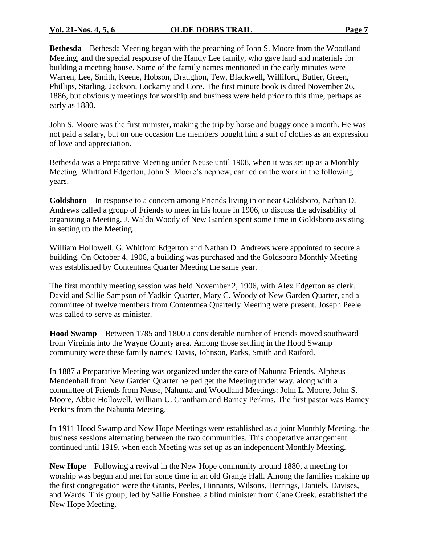**Bethesda** – Bethesda Meeting began with the preaching of John S. Moore from the Woodland Meeting, and the special response of the Handy Lee family, who gave land and materials for building a meeting house. Some of the family names mentioned in the early minutes were Warren, Lee, Smith, Keene, Hobson, Draughon, Tew, Blackwell, Williford, Butler, Green, Phillips, Starling, Jackson, Lockamy and Core. The first minute book is dated November 26, 1886, but obviously meetings for worship and business were held prior to this time, perhaps as early as 1880.

John S. Moore was the first minister, making the trip by horse and buggy once a month. He was not paid a salary, but on one occasion the members bought him a suit of clothes as an expression of love and appreciation.

Bethesda was a Preparative Meeting under Neuse until 1908, when it was set up as a Monthly Meeting. Whitford Edgerton, John S. Moore's nephew, carried on the work in the following years.

Goldsboro – In response to a concern among Friends living in or near Goldsboro, Nathan D. Andrews called a group of Friends to meet in his home in 1906, to discuss the advisability of organizing a Meeting. J. Waldo Woody of New Garden spent some time in Goldsboro assisting in setting up the Meeting.

William Hollowell, G. Whitford Edgerton and Nathan D. Andrews were appointed to secure a building. On October 4, 1906, a building was purchased and the Goldsboro Monthly Meeting was established by Contentnea Quarter Meeting the same year.

The first monthly meeting session was held November 2, 1906, with Alex Edgerton as clerk. David and Sallie Sampson of Yadkin Quarter, Mary C. Woody of New Garden Quarter, and a committee of twelve members from Contentnea Quarterly Meeting were present. Joseph Peele was called to serve as minister.

**Hood Swamp** – Between 1785 and 1800 a considerable number of Friends moved southward from Virginia into the Wayne County area. Among those settling in the Hood Swamp community were these family names: Davis, Johnson, Parks, Smith and Raiford.

In 1887 a Preparative Meeting was organized under the care of Nahunta Friends. Alpheus Mendenhall from New Garden Quarter helped get the Meeting under way, along with a committee of Friends from Neuse, Nahunta and Woodland Meetings: John L. Moore, John S. Moore, Abbie Hollowell, William U. Grantham and Barney Perkins. The first pastor was Barney Perkins from the Nahunta Meeting.

In 1911 Hood Swamp and New Hope Meetings were established as a joint Monthly Meeting, the business sessions alternating between the two communities. This cooperative arrangement continued until 1919, when each Meeting was set up as an independent Monthly Meeting.

**New Hope** –Following a revival in the New Hope community around 1880, a meeting for worship was begun and met for some time in an old Grange Hall. Among the families making up the first congregation were the Grants, Peeles, Hinnants, Wilsons, Herrings, Daniels, Davises, and Wards. This group, led by Sallie Foushee, a blind minister from Cane Creek, established the New Hope Meeting.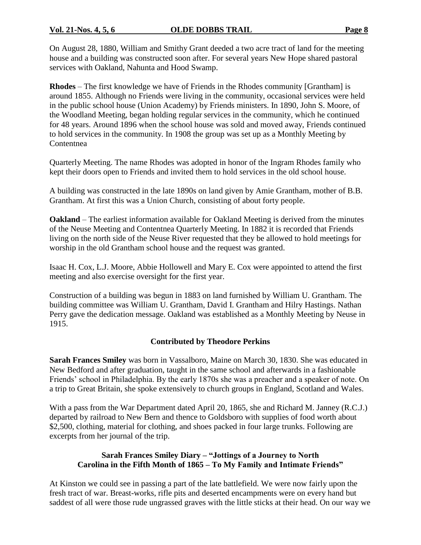On August 28, 1880, William and Smithy Grant deeded a two acre tract of land for the meeting house and a building was constructed soon after. For several years New Hope shared pastoral services with Oakland, Nahunta and Hood Swamp.

**Rhodes** –The first knowledge we have of Friends in the Rhodes community [Grantham] is around 1855. Although no Friends were living in the community, occasional services were held in the public school house (Union Academy) by Friends ministers. In 1890, John S. Moore, of the Woodland Meeting, began holding regular services in the community, which he continued for 48 years. Around 1896 when the school house was sold and moved away, Friends continued to hold services in the community. In 1908 the group was set up as a Monthly Meeting by Contentnea

Quarterly Meeting. The name Rhodes was adopted in honor of the Ingram Rhodes family who kept their doors open to Friends and invited them to hold services in the old school house.

A building was constructed in the late 1890s on land given by Amie Grantham, mother of B.B. Grantham. At first this was a Union Church, consisting of about forty people.

**Oakland** – The earliest information available for Oakland Meeting is derived from the minutes of the Neuse Meeting and Contentnea Quarterly Meeting. In 1882 it is recorded that Friends living on the north side of the Neuse River requested that they be allowed to hold meetings for worship in the old Grantham school house and the request was granted.

Isaac H. Cox, L.J. Moore, Abbie Hollowell and Mary E. Cox were appointed to attend the first meeting and also exercise oversight for the first year.

Construction of a building was begun in 1883 on land furnished by William U. Grantham. The building committee was William U. Grantham, David I. Grantham and Hilry Hastings. Nathan Perry gave the dedication message. Oakland was established as a Monthly Meeting by Neuse in 1915.

# **Contributed by Theodore Perkins**

**Sarah Frances Smiley** was born in Vassalboro, Maine on March 30, 1830. She was educated in New Bedford and after graduation, taught in the same school and afterwards in a fashionable Friends' school in Philadelphia. By the early 1870s she was a preacher and a speaker of note. On a trip to Great Britain, she spoke extensively to church groups in England, Scotland and Wales.

With a pass from the War Department dated April 20, 1865, she and Richard M. Janney (R.C.J.) departed by railroad to New Bern and thence to Goldsboro with supplies of food worth about \$2,500, clothing, material for clothing, and shoes packed in four large trunks. Following are excerpts from her journal of the trip.

### Sarah Frances Smiley Diary – "Jottings of a Journey to North **Carolina in the Fifth Month of 1865 – To My Family and Intimate Friends"**

At Kinston we could see in passing a part of the late battlefield. We were now fairly upon the fresh tract of war. Breast-works, rifle pits and deserted encampments were on every hand but saddest of all were those rude ungrassed graves with the little sticks at their head. On our way we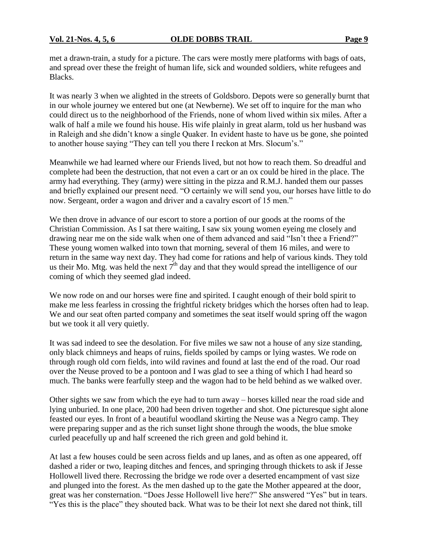met a drawn-train, a study for a picture. The cars were mostly mere platforms with bags of oats, and spread over these the freight of human life, sick and wounded soldiers, white refugees and Blacks.

It was nearly 3 when we alighted in the streets of Goldsboro. Depots were so generally burnt that in our whole journey we entered but one (at Newberne). We set off to inquire for the man who could direct us to the neighborhood of the Friends, none of whom lived within six miles. After a walk of half a mile we found his house. His wife plainly in great alarm, told us her husband was in Raleigh and she didn't know a single Quaker. In evident haste to have us be gone, she pointed to another house saying "They can tell you there I reckon at Mrs. Slocum's."

Meanwhile we had learned where our Friends lived, but not how to reach them. So dreadful and complete had been the destruction, that not even a cart or an ox could be hired in the place. The army had everything. They (army) were sitting in the pizza and R.M.J. handed them our passes and briefly explained our present need. "O certainly we will send you, our horses have little to do now. Sergeant, order a wagon and driver and a cavalry escort of 15 men."

We then drove in advance of our escort to store a portion of our goods at the rooms of the Christian Commission. As I sat there waiting, I saw six young women eyeing me closely and drawing near me on the side walk when one of them advanced and said "Isn't thee a Friend?" These young women walked into town that morning, several of them 16 miles, and were to return in the same way next day. They had come for rations and help of various kinds. They told us their Mo. Mtg. was held the next  $7<sup>th</sup>$  day and that they would spread the intelligence of our coming of which they seemed glad indeed.

We now rode on and our horses were fine and spirited. I caught enough of their bold spirit to make me less fearless in crossing the frightful rickety bridges which the horses often had to leap. We and our seat often parted company and sometimes the seat itself would spring off the wagon but we took it all very quietly.

It was sad indeed to see the desolation. For five miles we saw not a house of any size standing, only black chimneys and heaps of ruins, fields spoiled by camps or lying wastes. We rode on through rough old corn fields, into wild ravines and found at last the end of the road. Our road over the Neuse proved to be a pontoon and I was glad to see a thing of which I had heard so much. The banks were fearfully steep and the wagon had to be held behind as we walked over.

Other sights we saw from which the eye had to turn away –horses killed near the road side and lying unburied. In one place, 200 had been driven together and shot. One picturesque sight alone feasted our eyes. In front of a beautiful woodland skirting the Neuse was a Negro camp. They were preparing supper and as the rich sunset light shone through the woods, the blue smoke curled peacefully up and half screened the rich green and gold behind it.

At last a few houses could be seen across fields and up lanes, and as often as one appeared, off dashed a rider or two, leaping ditches and fences, and springing through thickets to ask if Jesse Hollowell lived there. Recrossing the bridge we rode over a deserted encampment of vast size and plunged into the forest. As the men dashed up to the gate the Mother appeared at the door, great was her consternation. "Does Jesse Hollowell live here?" She answered "Yes" but in tears. "Yes this is the place" they shouted back. What was to be their lot next she dared not think, till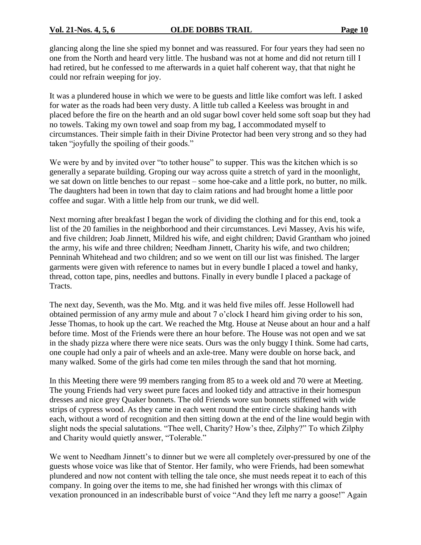glancing along the line she spied my bonnet and was reassured. For four years they had seen no one from the North and heard very little. The husband was not at home and did not return till I had retired, but he confessed to me afterwards in a quiet half coherent way, that that night he could nor refrain weeping for joy.

It was a plundered house in which we were to be guests and little like comfort was left. I asked for water as the roads had been very dusty. A little tub called a Keeless was brought in and placed before the fire on the hearth and an old sugar bowl cover held some soft soap but they had no towels. Taking my own towel and soap from my bag, I accommodated myself to circumstances. Their simple faith in their Divine Protector had been very strong and so they had taken "joyfully the spoiling of their goods."

We were by and by invited over "to tother house" to supper. This was the kitchen which is so generally a separate building. Groping our way across quite a stretch of yard in the moonlight, we sat down on little benches to our repast – some hoe-cake and a little pork, no butter, no milk. The daughters had been in town that day to claim rations and had brought home a little poor coffee and sugar. With a little help from our trunk, we did well.

Next morning after breakfast I began the work of dividing the clothing and for this end, took a list of the 20 families in the neighborhood and their circumstances. Levi Massey, Avis his wife, and five children; Joab Jinnett, Mildred his wife, and eight children; David Grantham who joined the army, his wife and three children; Needham Jinnett, Charity his wife, and two children; Penninah Whitehead and two children; and so we went on till our list was finished. The larger garments were given with reference to names but in every bundle I placed a towel and hanky, thread, cotton tape, pins, needles and buttons. Finally in every bundle I placed a package of Tracts.

The next day, Seventh, was the Mo. Mtg. and it was held five miles off. Jesse Hollowell had obtained permission of any army mule and about 7 o'clock I heard him giving order to his son, Jesse Thomas, to hook up the cart. We reached the Mtg. House at Neuse about an hour and a half before time. Most of the Friends were there an hour before. The House was not open and we sat in the shady pizza where there were nice seats. Ours was the only buggy I think. Some had carts, one couple had only a pair of wheels and an axle-tree. Many were double on horse back, and many walked. Some of the girls had come ten miles through the sand that hot morning.

In this Meeting there were 99 members ranging from 85 to a week old and 70 were at Meeting. The young Friends had very sweet pure faces and looked tidy and attractive in their homespun dresses and nice grey Quaker bonnets. The old Friends wore sun bonnets stiffened with wide strips of cypress wood. As they came in each went round the entire circle shaking hands with each, without a word of recognition and then sitting down at the end of the line would begin with slight nods the special salutations. "Thee well, Charity? How's thee, Zilphy?" To which Zilphy and Charity would quietly answer, "Tolerable."

We went to Needham Jinnett's to dinner but we were all completely over-pressured by one of the guests whose voice was like that of Stentor. Her family, who were Friends, had been somewhat plundered and now not content with telling the tale once, she must needs repeat it to each of this company. In going over the items to me, she had finished her wrongs with this climax of vexation pronounced in an indescribable burst of voice "And they left me narry a goose!" Again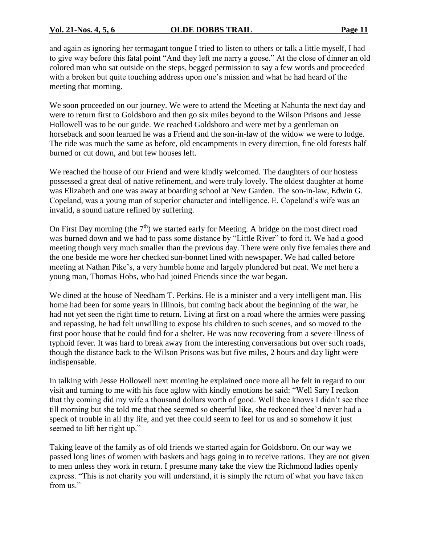and again as ignoring her termagant tongue I tried to listen to others or talk a little myself, I had to give way before this fatal point "And they left me narry a goose." At the close of dinner an old colored man who sat outside on the steps, begged permission to say a few words and proceeded with a broken but quite touching address upon one's mission and what he had heard of the meeting that morning.

We soon proceeded on our journey. We were to attend the Meeting at Nahunta the next day and were to return first to Goldsboro and then go six miles beyond to the Wilson Prisons and Jesse Hollowell was to be our guide. We reached Goldsboro and were met by a gentleman on horseback and soon learned he was a Friend and the son-in-law of the widow we were to lodge. The ride was much the same as before, old encampments in every direction, fine old forests half burned or cut down, and but few houses left.

We reached the house of our Friend and were kindly welcomed. The daughters of our hostess possessed a great deal of native refinement, and were truly lovely. The oldest daughter at home was Elizabeth and one was away at boarding school at New Garden. The son-in-law, Edwin G. Copeland, was a young man of superior character and intelligence. E. Copeland's wife was an invalid, a sound nature refined by suffering.

On First Day morning (the  $7<sup>th</sup>$ ) we started early for Meeting. A bridge on the most direct road was burned down and we had to pass some distance by "Little River" to ford it. We had a good meeting though very much smaller than the previous day. There were only five females there and the one beside me wore her checked sun-bonnet lined with newspaper. We had called before meeting at Nathan Pike's, a very humble home and largely plundered but neat. We met here a young man, Thomas Hobs, who had joined Friends since the war began.

We dined at the house of Needham T. Perkins. He is a minister and a very intelligent man. His home had been for some years in Illinois, but coming back about the beginning of the war, he had not yet seen the right time to return. Living at first on a road where the armies were passing and repassing, he had felt unwilling to expose his children to such scenes, and so moved to the first poor house that he could find for a shelter. He was now recovering from a severe illness of typhoid fever. It was hard to break away from the interesting conversations but over such roads, though the distance back to the Wilson Prisons was but five miles, 2 hours and day light were indispensable.

In talking with Jesse Hollowell next morning he explained once more all he felt in regard to our visit and turning to me with his face aglow with kindly emotions he said: "Well Sary I reckon that thy coming did my wife a thousand dollars worth of good. Well thee knows I didn't see thee till morning but she told me that thee seemed so cheerful like, she reckoned thee'd never had a speck of trouble in all thy life, and yet thee could seem to feel for us and so somehow it just seemed to lift her right up."

Taking leave of the family as of old friends we started again for Goldsboro. On our way we passed long lines of women with baskets and bags going in to receive rations. They are not given to men unless they work in return. I presume many take the view the Richmond ladies openly express. "This is not charity you will understand, it is simply the return of what you have taken from us."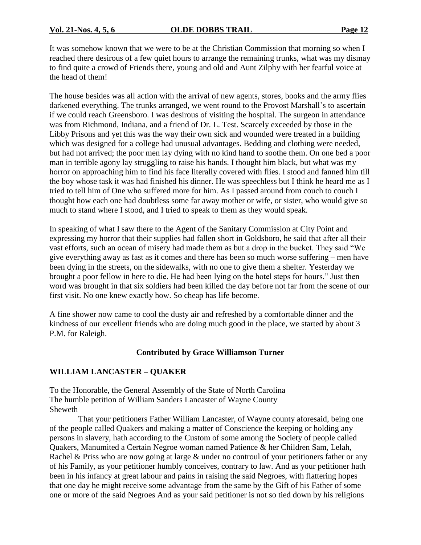It was somehow known that we were to be at the Christian Commission that morning so when I reached there desirous of a few quiet hours to arrange the remaining trunks, what was my dismay to find quite a crowd of Friends there, young and old and Aunt Zilphy with her fearful voice at the head of them!

The house besides was all action with the arrival of new agents, stores, books and the army flies darkened everything. The trunks arranged, we went round to the Provost Marshall's to ascertain if we could reach Greensboro. I was desirous of visiting the hospital. The surgeon in attendance was from Richmond, Indiana, and a friend of Dr. L. Test. Scarcely exceeded by those in the Libby Prisons and yet this was the way their own sick and wounded were treated in a building which was designed for a college had unusual advantages. Bedding and clothing were needed, but had not arrived; the poor men lay dying with no kind hand to soothe them. On one bed a poor man in terrible agony lay struggling to raise his hands. I thought him black, but what was my horror on approaching him to find his face literally covered with flies. I stood and fanned him till the boy whose task it was had finished his dinner. He was speechless but I think he heard me as I tried to tell him of One who suffered more for him. As I passed around from couch to couch I thought how each one had doubtless some far away mother or wife, or sister, who would give so much to stand where I stood, and I tried to speak to them as they would speak.

In speaking of what I saw there to the Agent of the Sanitary Commission at City Point and expressing my horror that their supplies had fallen short in Goldsboro, he said that after all their vast efforts, such an ocean of misery had made them as but a drop in the bucket. They said "We give everything away as fast as it comes and there has been so much worse suffering –men have been dying in the streets, on the sidewalks, with no one to give them a shelter. Yesterday we brought a poor fellow in here to die. He had been lying on the hotel steps for hours." Just then word was brought in that six soldiers had been killed the day before not far from the scene of our first visit. No one knew exactly how. So cheap has life become.

A fine shower now came to cool the dusty air and refreshed by a comfortable dinner and the kindness of our excellent friends who are doing much good in the place, we started by about 3 P.M. for Raleigh.

# **Contributed by Grace Williamson Turner**

# **WILLIAM LANCASTER –QUAKER**

To the Honorable, the General Assembly of the State of North Carolina The humble petition of William Sanders Lancaster of Wayne County Sheweth

That your petitioners Father William Lancaster, of Wayne county aforesaid, being one of the people called Quakers and making a matter of Conscience the keeping or holding any persons in slavery, hath according to the Custom of some among the Society of people called Quakers, Manumited a Certain Negroe woman named Patience & her Children Sam, Lelah, Rachel & Priss who are now going at large & under no controul of your petitioners father or any of his Family, as your petitioner humbly conceives, contrary to law. And as your petitioner hath been in his infancy at great labour and pains in raising the said Negroes, with flattering hopes that one day he might receive some advantage from the same by the Gift of his Father of some one or more of the said Negroes And as your said petitioner is not so tied down by his religions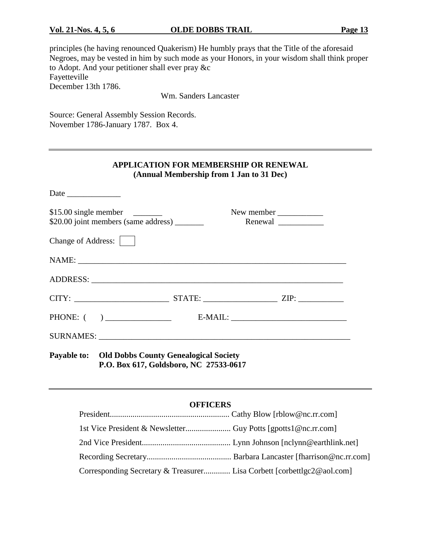principles (he having renounced Quakerism) He humbly prays that the Title of the aforesaid Negroes, may be vested in him by such mode as your Honors, in your wisdom shall think proper to Adopt. And your petitioner shall ever pray &c Fayetteville December 13th 1786.

Wm. Sanders Lancaster

Source: General Assembly Session Records. November 1786-January 1787. Box 4.

# **APPLICATION FOR MEMBERSHIP OR RENEWAL (Annual Membership from 1 Jan to 31 Dec)**

| \$20.00 joint members (same address) ________ |                                                                                                    | New member |  |
|-----------------------------------------------|----------------------------------------------------------------------------------------------------|------------|--|
| Change of Address:                            |                                                                                                    |            |  |
|                                               |                                                                                                    |            |  |
|                                               |                                                                                                    |            |  |
|                                               |                                                                                                    |            |  |
|                                               |                                                                                                    |            |  |
|                                               |                                                                                                    |            |  |
|                                               | <b>Payable to:</b> Old Dobbs County Genealogical Society<br>P.O. Box 617, Goldsboro, NC 27533-0617 |            |  |

### **OFFICERS**

| Corresponding Secretary & Treasurer Lisa Corbett [corbettlgc2@aol.com] |  |
|------------------------------------------------------------------------|--|